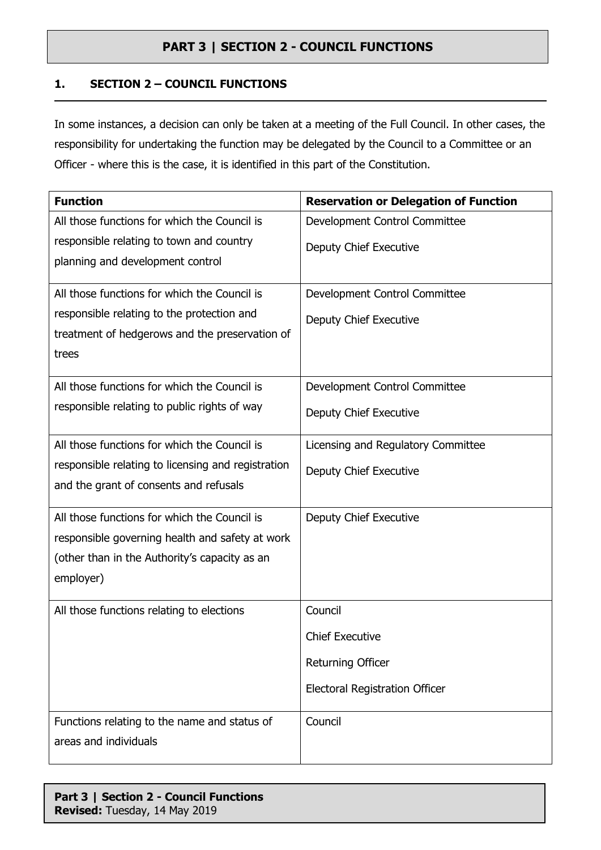#### **1. SECTION 2 – COUNCIL FUNCTIONS**

In some instances, a decision can only be taken at a meeting of the Full Council. In other cases, the responsibility for undertaking the function may be delegated by the Council to a Committee or an Officer - where this is the case, it is identified in this part of the Constitution.

| <b>Function</b>                                    | <b>Reservation or Delegation of Function</b> |
|----------------------------------------------------|----------------------------------------------|
| All those functions for which the Council is       | Development Control Committee                |
| responsible relating to town and country           | Deputy Chief Executive                       |
| planning and development control                   |                                              |
| All those functions for which the Council is       | Development Control Committee                |
| responsible relating to the protection and         | Deputy Chief Executive                       |
| treatment of hedgerows and the preservation of     |                                              |
| trees                                              |                                              |
| All those functions for which the Council is       | Development Control Committee                |
| responsible relating to public rights of way       | Deputy Chief Executive                       |
| All those functions for which the Council is       | Licensing and Regulatory Committee           |
| responsible relating to licensing and registration | Deputy Chief Executive                       |
| and the grant of consents and refusals             |                                              |
| All those functions for which the Council is       | Deputy Chief Executive                       |
| responsible governing health and safety at work    |                                              |
| (other than in the Authority's capacity as an      |                                              |
| employer)                                          |                                              |
| All those functions relating to elections          | Council                                      |
|                                                    | <b>Chief Executive</b>                       |
|                                                    | Returning Officer                            |
|                                                    | <b>Electoral Registration Officer</b>        |
| Functions relating to the name and status of       | Council                                      |
| areas and individuals                              |                                              |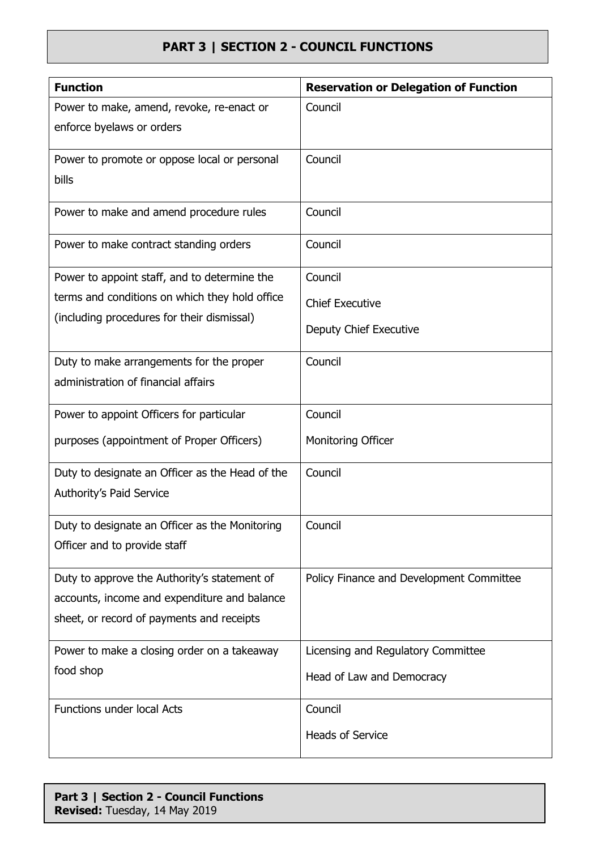| <b>Function</b>                                 | <b>Reservation or Delegation of Function</b> |
|-------------------------------------------------|----------------------------------------------|
| Power to make, amend, revoke, re-enact or       | Council                                      |
| enforce byelaws or orders                       |                                              |
| Power to promote or oppose local or personal    | Council                                      |
| bills                                           |                                              |
| Power to make and amend procedure rules         | Council                                      |
| Power to make contract standing orders          | Council                                      |
| Power to appoint staff, and to determine the    | Council                                      |
| terms and conditions on which they hold office  | <b>Chief Executive</b>                       |
| (including procedures for their dismissal)      | Deputy Chief Executive                       |
| Duty to make arrangements for the proper        | Council                                      |
| administration of financial affairs             |                                              |
| Power to appoint Officers for particular        | Council                                      |
| purposes (appointment of Proper Officers)       | Monitoring Officer                           |
| Duty to designate an Officer as the Head of the | Council                                      |
| Authority's Paid Service                        |                                              |
| Duty to designate an Officer as the Monitoring  | Council                                      |
| Officer and to provide staff                    |                                              |
| Duty to approve the Authority's statement of    | Policy Finance and Development Committee     |
| accounts, income and expenditure and balance    |                                              |
| sheet, or record of payments and receipts       |                                              |
| Power to make a closing order on a takeaway     | Licensing and Regulatory Committee           |
| food shop                                       | Head of Law and Democracy                    |
| <b>Functions under local Acts</b>               | Council                                      |
|                                                 | <b>Heads of Service</b>                      |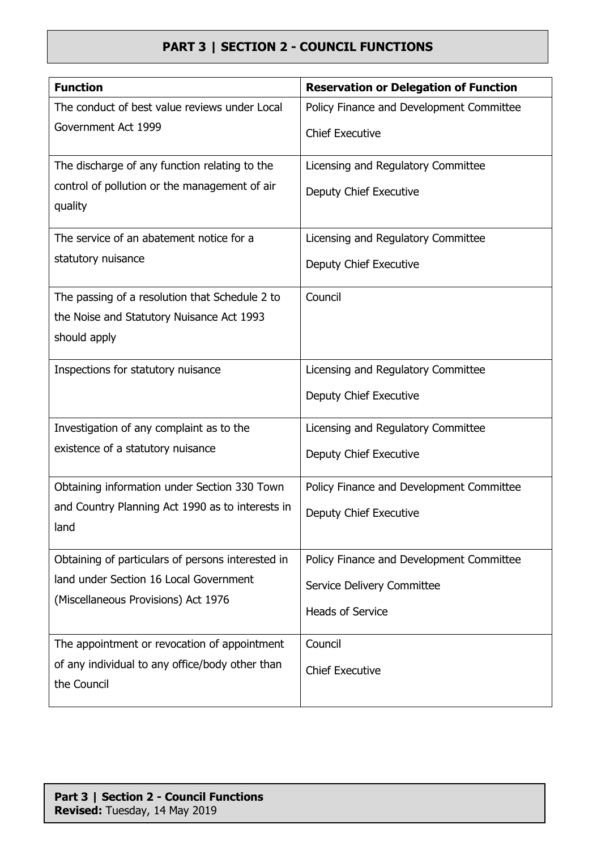| <b>Function</b>                                   | <b>Reservation or Delegation of Function</b> |
|---------------------------------------------------|----------------------------------------------|
| The conduct of best value reviews under Local     | Policy Finance and Development Committee     |
| Government Act 1999                               | <b>Chief Executive</b>                       |
| The discharge of any function relating to the     | Licensing and Regulatory Committee           |
| control of pollution or the management of air     | Deputy Chief Executive                       |
| quality                                           |                                              |
| The service of an abatement notice for a          | Licensing and Regulatory Committee           |
| statutory nuisance                                | Deputy Chief Executive                       |
| The passing of a resolution that Schedule 2 to    | Council                                      |
| the Noise and Statutory Nuisance Act 1993         |                                              |
| should apply                                      |                                              |
| Inspections for statutory nuisance                | Licensing and Regulatory Committee           |
|                                                   | Deputy Chief Executive                       |
| Investigation of any complaint as to the          | Licensing and Regulatory Committee           |
| existence of a statutory nuisance                 | Deputy Chief Executive                       |
| Obtaining information under Section 330 Town      | Policy Finance and Development Committee     |
| and Country Planning Act 1990 as to interests in  | Deputy Chief Executive                       |
| land                                              |                                              |
| Obtaining of particulars of persons interested in | Policy Finance and Development Committee     |
| land under Section 16 Local Government            | Service Delivery Committee                   |
| (Miscellaneous Provisions) Act 1976               | <b>Heads of Service</b>                      |
|                                                   |                                              |
| The appointment or revocation of appointment      | Council                                      |
| of any individual to any office/body other than   | <b>Chief Executive</b>                       |
| the Council                                       |                                              |